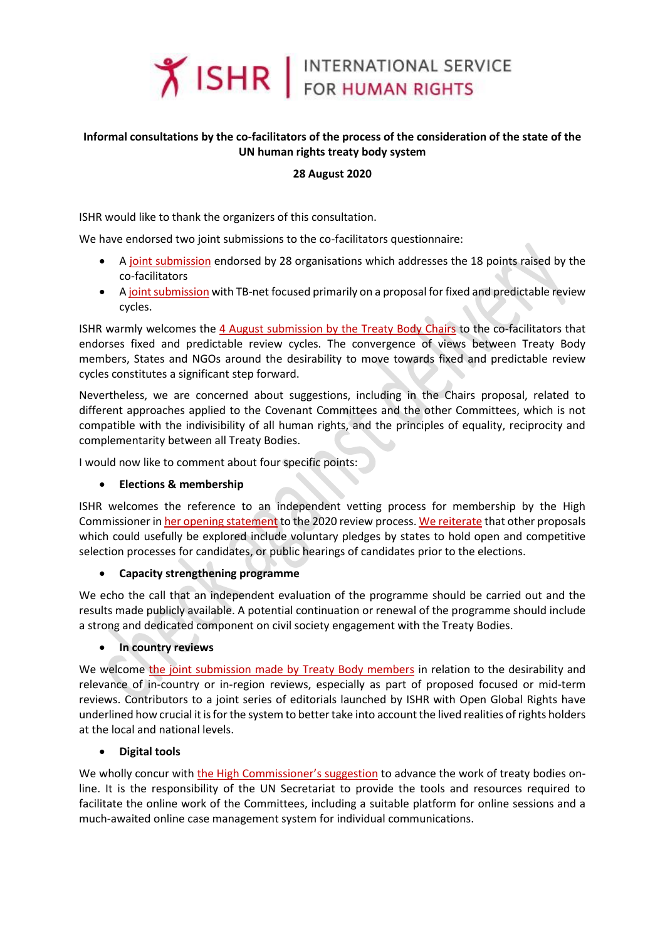

# **Informal consultations by the co-facilitators of the process of the consideration of the state of the UN human rights treaty body system**

### **28 August 2020**

ISHR would like to thank the organizers of this consultation.

We have endorsed two joint submissions to the co-facilitators questionnaire:

- A [joint submission](https://www.ohchr.org/Documents/HRBodies/TB/HRTD/CoFacilitationProcess/OtherStakeholders/CSOSubmission.pdf) endorsed by 28 organisations which addresses the 18 points raised by the co-facilitators
- [A joint submission](https://www.ohchr.org/Documents/HRBodies/TB/HRTD/CoFacilitationProcess/OtherStakeholders/CivilSocietySubmission.docx) with TB-net focused primarily on a proposal for fixed and predictable review cycles.

ISHR warmly welcomes the 4 August [submission by the Treaty Body Chairs](https://www.ohchr.org/Documents/HRBodies/TB/HRTD/CoFacilitationProcess/outcomes/Written-contribution-co-facilitators.docx) to the co-facilitators that endorses fixed and predictable review cycles. The convergence of views between Treaty Body members, States and NGOs around the desirability to move towards fixed and predictable review cycles constitutes a significant step forward.

Nevertheless, we are concerned about suggestions, including in the Chairs proposal, related to different approaches applied to the Covenant Committees and the other Committees, which is not compatible with the indivisibility of all human rights, and the principles of equality, reciprocity and complementarity between all Treaty Bodies.

I would now like to comment about four specific points:

### **Elections & membership**

ISHR welcomes the reference to an independent vetting process for membership by the High Commissioner i[n her opening statement](https://www.ohchr.org/EN/NewsEvents/Pages/DisplayNews.aspx?NewsID=25917&LangID=E) to the 2020 review process[. We reiterate](https://www.ishr.ch/sites/default/files/documents/ishr_submission_to_questionnaire_on_tb_strengthening.pdf) that other proposals which could usefully be explored include voluntary pledges by states to hold open and competitive selection processes for candidates, or public hearings of candidates prior to the elections.

### **Capacity strengthening programme**

We echo the call that an independent evaluation of the programme should be carried out and the results made publicly available. A potential continuation or renewal of the programme should include a strong and dedicated component on civil society engagement with the Treaty Bodies.

### **In country reviews**

We welcome [the joint submission made by Treaty Body members](https://www.ohchr.org/Documents/HRBodies/TB/HRTD/CoFacilitationProcess/TBExperts/TBExperts.pdf) in relation to the desirability and relevance of in-country or in-region reviews, especially as part of proposed focused or mid-term reviews. Contributors to a joint series of editorials launched by ISHR with Open Global Rights have underlined how crucial it is for the system to better take into account the lived realities of rights holders at the local and national levels.

## **Digital tools**

We wholly concur with [the High Commissioner](https://www.ohchr.org/EN/NewsEvents/Pages/DisplayNews.aspx?NewsID=25917&LangID=E)'s suggestion to advance the work of treaty bodies online. It is the responsibility of the UN Secretariat to provide the tools and resources required to facilitate the online work of the Committees, including a suitable platform for online sessions and a much-awaited online case management system for individual communications.